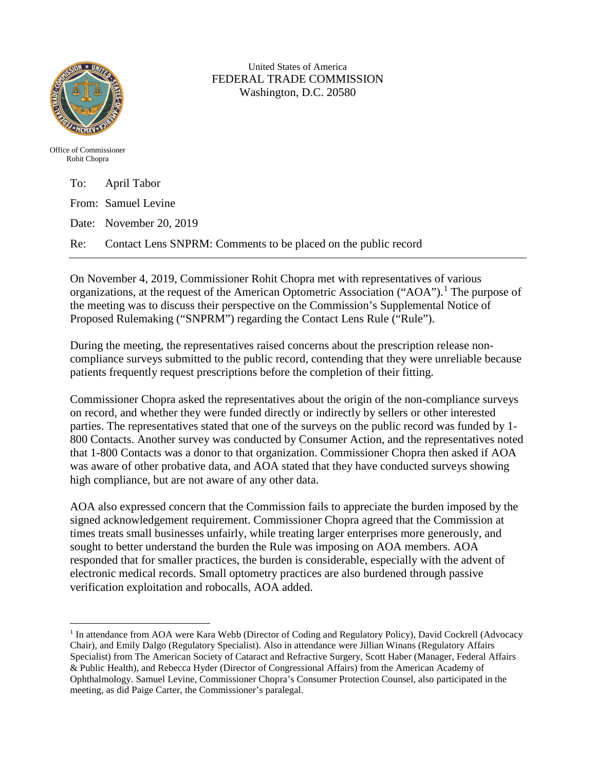

United States of America FEDERAL TRADE COMMISSION Washington, D.C. 20580

Office of Commissioner Rohit Chopra

| To: April Tabor                                                    |
|--------------------------------------------------------------------|
| From: Samuel Levine                                                |
| Date: November 20, 2019                                            |
| Re: Contact Lens SNPRM: Comments to be placed on the public record |

On November 4, 2019, Commissioner Rohit Chopra met with representatives of various organizations, at the request of the American Optometric Association ("AOA").<sup>[1](#page-0-0)</sup> The purpose of the meeting was to discuss their perspective on the Commission's Supplemental Notice of Proposed Rulemaking ("SNPRM") regarding the Contact Lens Rule ("Rule").

During the meeting, the representatives raised concerns about the prescription release noncompliance surveys submitted to the public record, contending that they were unreliable because patients frequently request prescriptions before the completion of their fitting.

Commissioner Chopra asked the representatives about the origin of the non-compliance surveys on record, and whether they were funded directly or indirectly by sellers or other interested parties. The representatives stated that one of the surveys on the public record was funded by 1- 800 Contacts. Another survey was conducted by Consumer Action, and the representatives noted that 1-800 Contacts was a donor to that organization. Commissioner Chopra then asked if AOA was aware of other probative data, and AOA stated that they have conducted surveys showing high compliance, but are not aware of any other data.

AOA also expressed concern that the Commission fails to appreciate the burden imposed by the signed acknowledgement requirement. Commissioner Chopra agreed that the Commission at times treats small businesses unfairly, while treating larger enterprises more generously, and sought to better understand the burden the Rule was imposing on AOA members. AOA responded that for smaller practices, the burden is considerable, especially with the advent of electronic medical records. Small optometry practices are also burdened through passive verification exploitation and robocalls, AOA added.

<span id="page-0-0"></span> $\overline{\phantom{a}}$ <sup>1</sup> In attendance from AOA were Kara Webb (Director of Coding and Regulatory Policy), David Cockrell (Advocacy Chair), and Emily Dalgo (Regulatory Specialist). Also in attendance were Jillian Winans (Regulatory Affairs Specialist) from The American Society of Cataract and Refractive Surgery, Scott Haber (Manager, Federal Affairs & Public Health), and Rebecca Hyder (Director of Congressional Affairs) from the American Academy of Ophthalmology. Samuel Levine, Commissioner Chopra's Consumer Protection Counsel, also participated in the meeting, as did Paige Carter, the Commissioner's paralegal.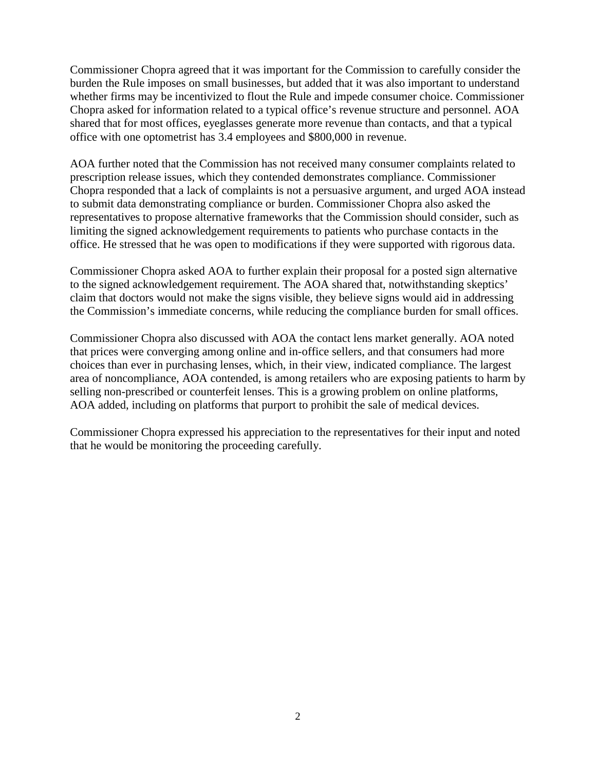Commissioner Chopra agreed that it was important for the Commission to carefully consider the burden the Rule imposes on small businesses, but added that it was also important to understand whether firms may be incentivized to flout the Rule and impede consumer choice. Commissioner Chopra asked for information related to a typical office's revenue structure and personnel. AOA shared that for most offices, eyeglasses generate more revenue than contacts, and that a typical office with one optometrist has 3.4 employees and \$800,000 in revenue.

AOA further noted that the Commission has not received many consumer complaints related to prescription release issues, which they contended demonstrates compliance. Commissioner Chopra responded that a lack of complaints is not a persuasive argument, and urged AOA instead to submit data demonstrating compliance or burden. Commissioner Chopra also asked the representatives to propose alternative frameworks that the Commission should consider, such as limiting the signed acknowledgement requirements to patients who purchase contacts in the office. He stressed that he was open to modifications if they were supported with rigorous data.

Commissioner Chopra asked AOA to further explain their proposal for a posted sign alternative to the signed acknowledgement requirement. The AOA shared that, notwithstanding skeptics' claim that doctors would not make the signs visible, they believe signs would aid in addressing the Commission's immediate concerns, while reducing the compliance burden for small offices.

Commissioner Chopra also discussed with AOA the contact lens market generally. AOA noted that prices were converging among online and in-office sellers, and that consumers had more choices than ever in purchasing lenses, which, in their view, indicated compliance. The largest area of noncompliance, AOA contended, is among retailers who are exposing patients to harm by selling non-prescribed or counterfeit lenses. This is a growing problem on online platforms, AOA added, including on platforms that purport to prohibit the sale of medical devices.

Commissioner Chopra expressed his appreciation to the representatives for their input and noted that he would be monitoring the proceeding carefully.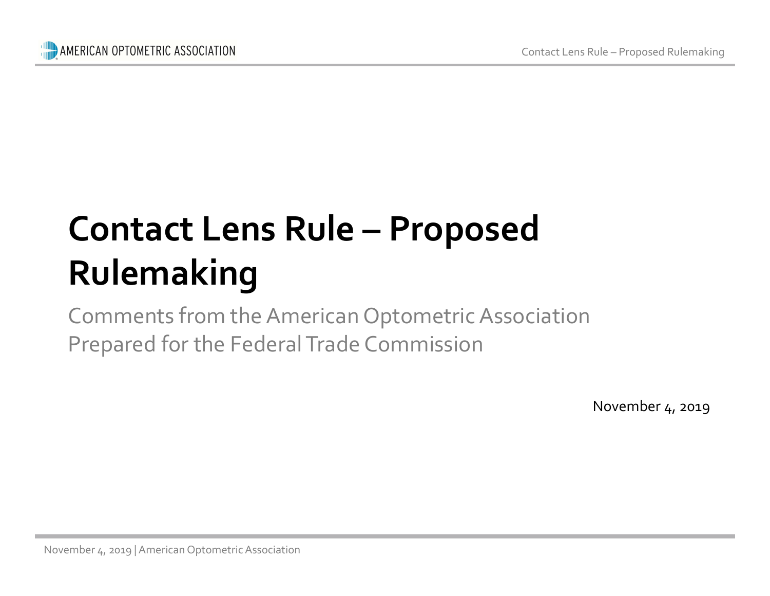# ERICAN OPTOMETRIC ASSOCIATION<br>
CONTACT Lens Rule – Proposed<br>
Rulemaking Rulemaking

Comments from the American Optometri<br>Prepared for the Federal Trade Commission Comments from the American Optometric Association Prepared for the Federal Trade Commission

November 4, 2019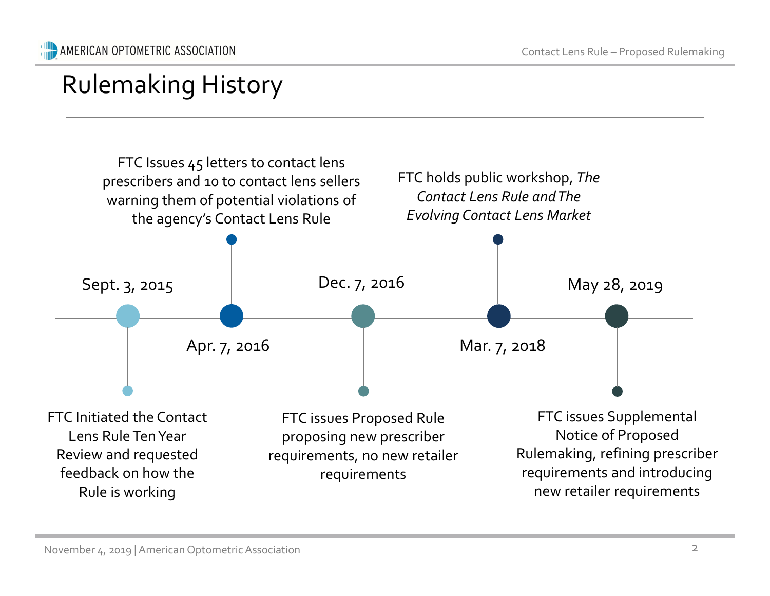### Rulemaking History

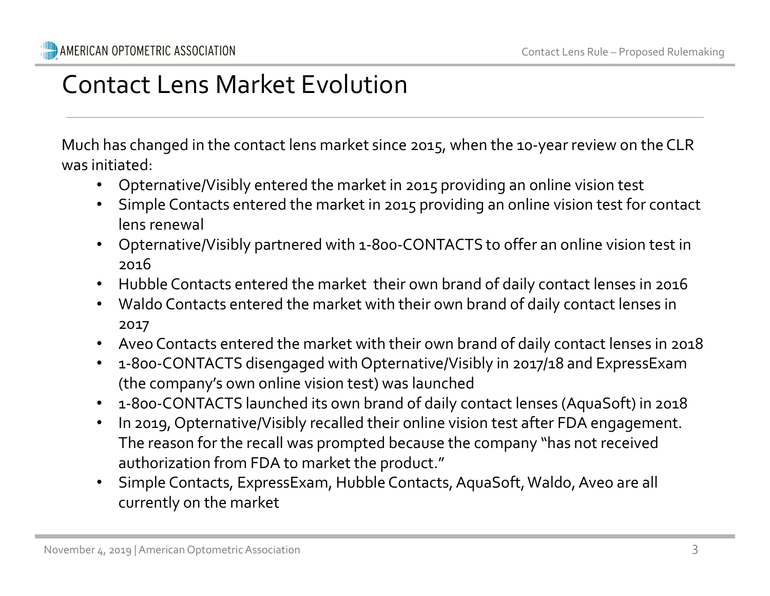### Contact Lens Market Evolution

Much has changed in the contact lens market since 2015, when the 10-year review on the CLR was initiated:

- Opternative/Visibly entered the market in 2015 providing an online vision test
- Simple Contacts entered the market in 2015 providing an online vision test for contact lens renewal
- Opternative/Visibly partnered with 1-800-CONTACTS to offer an online vision test in 2016
- Hubble Contacts entered the market their own brand of daily contact lenses in 2016
- Waldo Contacts entered the market with their own brand of daily contact lenses in 2017
- Aveo Contacts entered the market with their own brand of daily contact lenses in 2018
- 1-800-CONTACTS disengaged with Opternative/Visibly in 2017/18 and ExpressExam (the company's own online vision test) was launched
- 1-800-CONTACTS launched its own brand of daily contact lenses (AquaSoft) in 2018
- Valuation Contacts entered the market with their own<br>
2017<br>
 Aveo Contacts entered the market with their own t<br>
 1-800-CONTACTS disengaged with Opternative/Vi<br>
(the company's own online vision test) was launche<br>
 1-800-• In 2019, Opternative/Visibly recalled their online vision test after FDA engagement. The reason for the recall was prompted because the company "has not received authorization from FDA to market the product."
	- Simple Contacts, ExpressExam, Hubble Contacts, AquaSoft, Waldo, Aveo are all currently on the market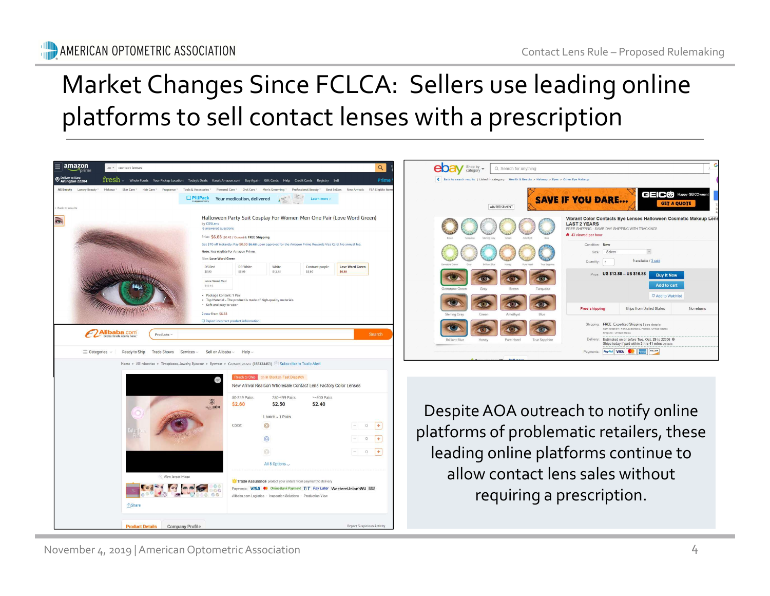# Contact Lens Rule – Proposed Rulemaking<br> **Performance Contains 2**<br> **Performance Secution** Market Changes Since FCLCA: Sellers use leading online platforms to sell contact lenses with a prescription

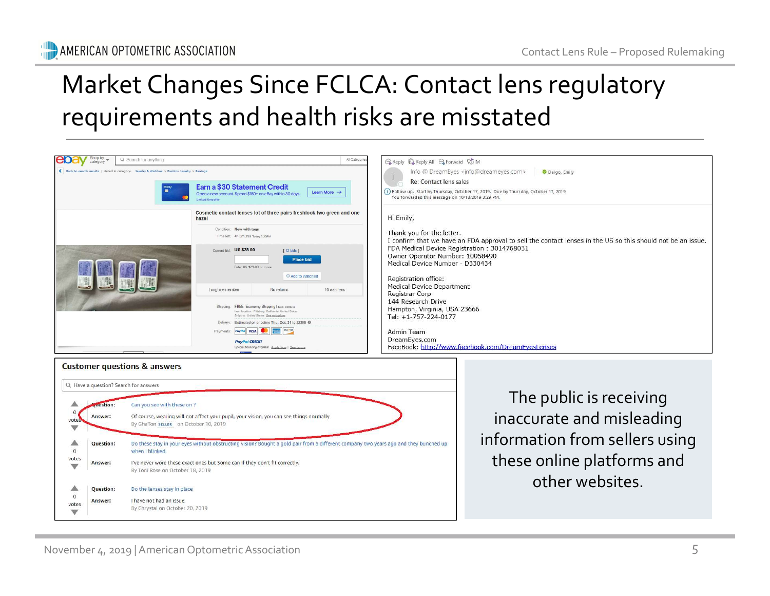# Contact Lens Rule – Proposed Rulemaking Market Changes Since FCLCA: Contact lens regulatory requirements and health risks are misstated

| Cosmetic contact lenses lot of three pairs freshlook two green and one<br>Hi Emily,<br>hazel<br>Condition: New with tags<br>Thank you for the letter.<br>Time left: 4h 0m 39s Today 5:30PM<br>I confirm that we have an FDA approval to sell the contact lenses in the US so this should not be an issue.<br>FDA Medical Device Registration: 3014768031<br>Current bid: US \$28.00<br>[ 12 bids ]<br>Owner Operator Number: 10058490<br><b>Place bid</b><br>Medical Device Number - D330434<br>Enter US \$29.00 or more<br>C Add to Watchlist<br>Registration office:<br>Medical Device Department<br>Longtime member<br>10 watchers<br>No returns<br>Registrar Corp<br>144 Research Drive<br>Shipping: FREE Economy Shipping   See details<br>Hampton, Virginia, USA 23666<br>Ham Innetinn: Pittsburg, Calif.<br>nis Heitsch State<br>Ships to: United States See exclusions<br>Tel: +1-757-224-0177<br>Delivery: Estimated on or before Thu. Oct. 31 to 22306 @<br>Payments: PayPal VISA   20   Payments:<br>Admin Team<br>DreamEyes.com<br><b>PayPal CREDIT</b><br>FaceBook: http://www.facebook.com/DreamEyesLenses<br>Special financing available. Apply Now   See terms<br>The public is receiving<br>uestion:<br>Can you see with these on ?<br>inaccurate and misleading<br>Of course, wearing will not affect your pupil, your vision, you can see things normally<br>Answer:<br>By GhaTon SELLER on October 10, 2019<br>information from sellers using<br>Do these stay in your eyes without obstructing vision? Bought a gold pair from a different company two years ago and they bunched up<br>Question:<br>when I blinked.<br>these online platforms and<br>I've never wore these exact ones but Some can if they don't fit correctly.<br>Answer:<br>By Toni Rose on October 18, 2019<br>other websites.<br>Do the lenses stay in place<br>Question:<br>I have not had an issue.<br>Answer:<br>By Chrystal on October 20, 2019 | <b>Customer questions &amp; answers</b><br>Q Have a question? Search for answers<br>votes<br>votes<br>November 4, 2019   American Optometric Association<br>5 | $\frac{1}{2}$ | Earn a \$30 Statement Credit<br>Learn More $\rightarrow$<br>Open a new account. Spend \$150+ on eBay within 30 days. | Re: Contact lens sales<br>You forwarded this message on 10/18/2019 3:29 PM. | i) Follow up. Start by Thursday, October 17, 2019. Due by Thursday, October 17, 2019. |
|-----------------------------------------------------------------------------------------------------------------------------------------------------------------------------------------------------------------------------------------------------------------------------------------------------------------------------------------------------------------------------------------------------------------------------------------------------------------------------------------------------------------------------------------------------------------------------------------------------------------------------------------------------------------------------------------------------------------------------------------------------------------------------------------------------------------------------------------------------------------------------------------------------------------------------------------------------------------------------------------------------------------------------------------------------------------------------------------------------------------------------------------------------------------------------------------------------------------------------------------------------------------------------------------------------------------------------------------------------------------------------------------------------------------------------------------------------------------------------------------------------------------------------------------------------------------------------------------------------------------------------------------------------------------------------------------------------------------------------------------------------------------------------------------------------------------------------------------------------------------------------------------------------------------------------------------------|---------------------------------------------------------------------------------------------------------------------------------------------------------------|---------------|----------------------------------------------------------------------------------------------------------------------|-----------------------------------------------------------------------------|---------------------------------------------------------------------------------------|
|                                                                                                                                                                                                                                                                                                                                                                                                                                                                                                                                                                                                                                                                                                                                                                                                                                                                                                                                                                                                                                                                                                                                                                                                                                                                                                                                                                                                                                                                                                                                                                                                                                                                                                                                                                                                                                                                                                                                               |                                                                                                                                                               |               |                                                                                                                      |                                                                             |                                                                                       |
|                                                                                                                                                                                                                                                                                                                                                                                                                                                                                                                                                                                                                                                                                                                                                                                                                                                                                                                                                                                                                                                                                                                                                                                                                                                                                                                                                                                                                                                                                                                                                                                                                                                                                                                                                                                                                                                                                                                                               |                                                                                                                                                               |               |                                                                                                                      |                                                                             |                                                                                       |
|                                                                                                                                                                                                                                                                                                                                                                                                                                                                                                                                                                                                                                                                                                                                                                                                                                                                                                                                                                                                                                                                                                                                                                                                                                                                                                                                                                                                                                                                                                                                                                                                                                                                                                                                                                                                                                                                                                                                               |                                                                                                                                                               |               |                                                                                                                      |                                                                             |                                                                                       |
|                                                                                                                                                                                                                                                                                                                                                                                                                                                                                                                                                                                                                                                                                                                                                                                                                                                                                                                                                                                                                                                                                                                                                                                                                                                                                                                                                                                                                                                                                                                                                                                                                                                                                                                                                                                                                                                                                                                                               |                                                                                                                                                               |               |                                                                                                                      |                                                                             |                                                                                       |
|                                                                                                                                                                                                                                                                                                                                                                                                                                                                                                                                                                                                                                                                                                                                                                                                                                                                                                                                                                                                                                                                                                                                                                                                                                                                                                                                                                                                                                                                                                                                                                                                                                                                                                                                                                                                                                                                                                                                               |                                                                                                                                                               |               |                                                                                                                      |                                                                             |                                                                                       |
|                                                                                                                                                                                                                                                                                                                                                                                                                                                                                                                                                                                                                                                                                                                                                                                                                                                                                                                                                                                                                                                                                                                                                                                                                                                                                                                                                                                                                                                                                                                                                                                                                                                                                                                                                                                                                                                                                                                                               |                                                                                                                                                               |               |                                                                                                                      |                                                                             |                                                                                       |
|                                                                                                                                                                                                                                                                                                                                                                                                                                                                                                                                                                                                                                                                                                                                                                                                                                                                                                                                                                                                                                                                                                                                                                                                                                                                                                                                                                                                                                                                                                                                                                                                                                                                                                                                                                                                                                                                                                                                               |                                                                                                                                                               |               |                                                                                                                      |                                                                             |                                                                                       |
|                                                                                                                                                                                                                                                                                                                                                                                                                                                                                                                                                                                                                                                                                                                                                                                                                                                                                                                                                                                                                                                                                                                                                                                                                                                                                                                                                                                                                                                                                                                                                                                                                                                                                                                                                                                                                                                                                                                                               |                                                                                                                                                               |               |                                                                                                                      |                                                                             |                                                                                       |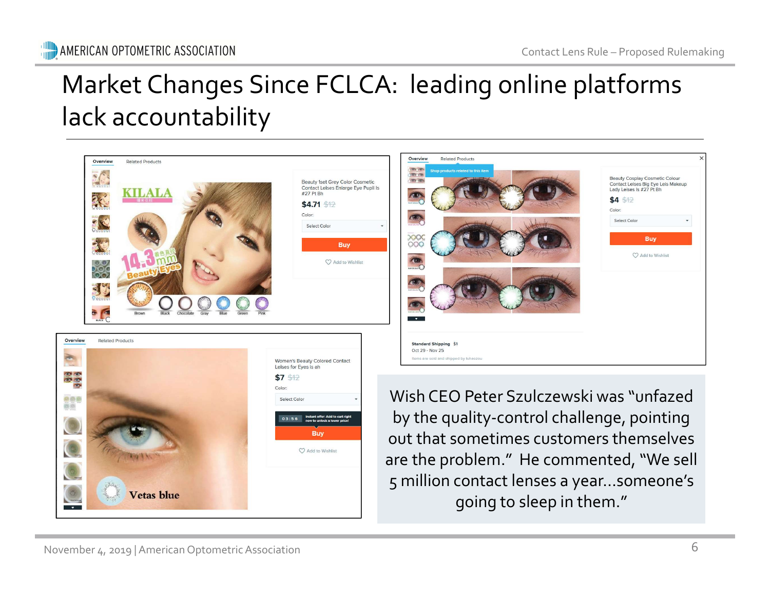# Contact Lens Rule – Proposed Rulemaking Market Changes Since FCLCA: leading online platforms lack accountability



going to sleep in them."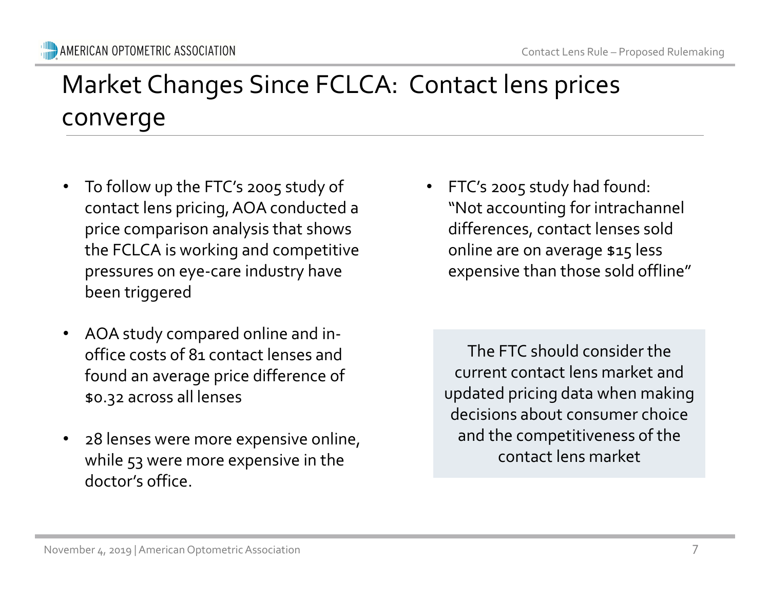# Contact Lens Rule – Proposed Rulemaking<br>
S prices Market Changes Since FCLCA: Contact lens prices converge

- To follow up the FTC's 2005 study of contact lens pricing, AOA conducted a price comparison analysis that shows the FCLCA is working and competitive pressures on eye-care industry have been triggered
- AOA study compared online and in-<br>
office costs of 81 contact lenses and<br>
found an average price difference of<br>  $\frac{1}{2}$ <br>  $\frac{1}{2}$ <br>
28 lenses were more expensive online,<br>
while 53 were more expensive in the<br>
doctor's of • AOA study compared online and inoffice costs of 81 contact lenses and found an average price difference of \$0.32 across all lenses
	- 28 lenses were more expensive online, while 53 were more expensive in the doctor's office.

• FTC's 2005 study had found: "Not accounting for intrachannel differences, contact lenses sold online are on average \$15 less expensive than those sold offline"

The FTC should consider the current contact lens market and updated pricing data when making decisions about consumer choice and the competitiveness of the contact lens market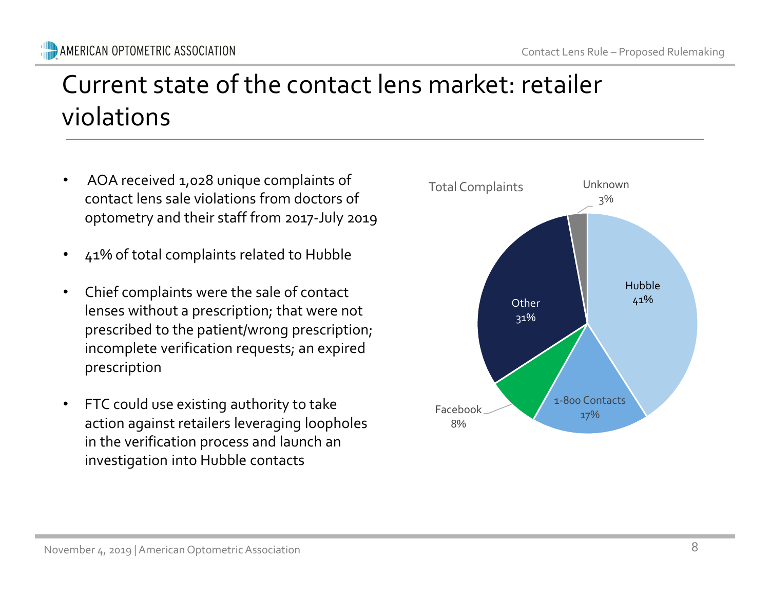# Contact Lens Rule – Proposed Rulemaking<br>
retailer Current state of the contact lens market: retailer violations

- AOA received 1,028 unique complaints of contact lens sale violations from doctors of optometry and their staff from 2017-July 2019
- 41% of total complaints related to Hubble
- Chief complaints were the sale of contact lenses without a prescription; that were not prescribed to the patient/wrong prescription; incomplete verification requests; an expired prescription
- lenses without a prescription; that were not<br>prescribed to the patient/wrong prescription;<br>incomplete verification requests; an expired<br>prescription<br> $\cdot$  FTC could use existing authority to take<br>action against retailers l • FTC could use existing authority to take action against retailers leveraging loopholes in the verification process and launch an investigation into Hubble contacts

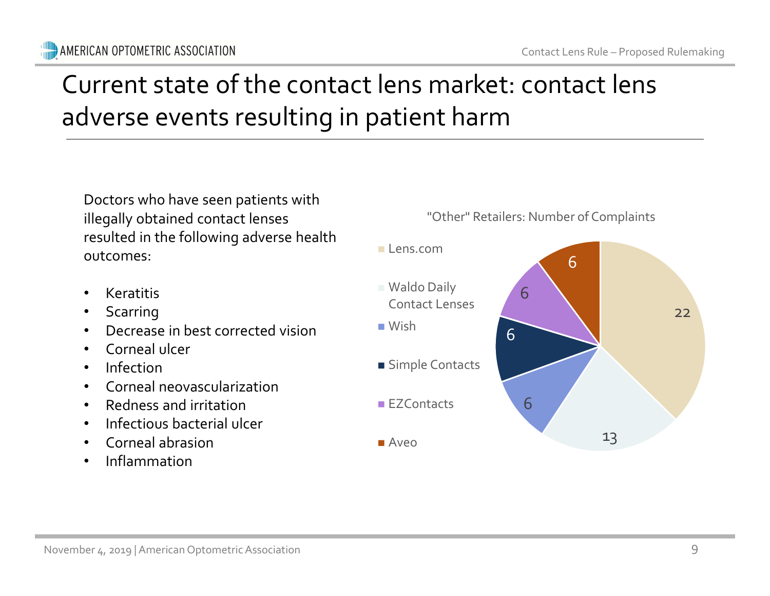# Contact Lens Rule – Proposed Rulemaking<br>
CONTACT Lens Current state of the contact lens market: contact lens adverse events resulting in patient harm

Doctors who have seen patients with illegally obtained contact lenses resulted in the following adverse health outcomes:

- Keratitis
- **Scarring**
- Decrease in best corrected vision
- Corneal ulcer
- Infection
- Corneal neovascularization
- Redness and irritation
- Infectious bacterial ulcer
- Corneal abrasion
- Inflammation

"Other" Retailers: Number of Complaints

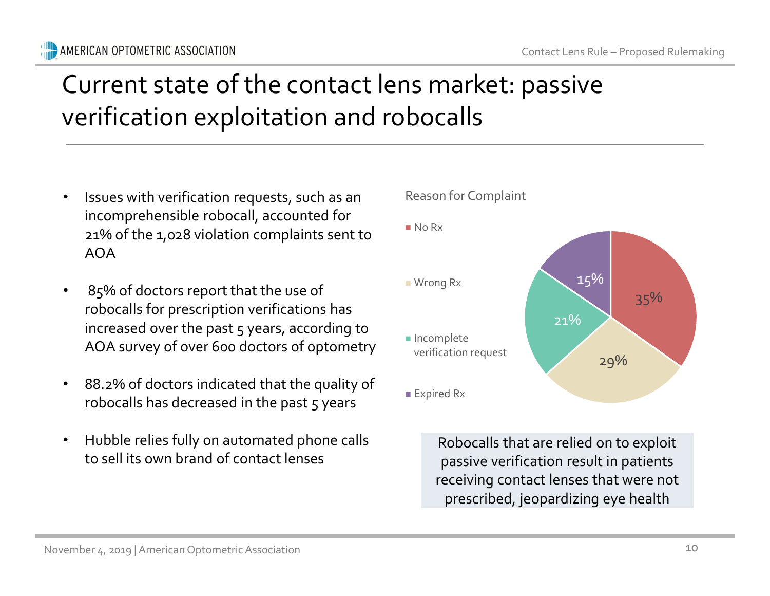#### **WILD** AMERICAN OPTOMETRIC ASSOCIATION

# Contact Lens Rule – Proposed Rulemaking<br>
PASSIVe Current state of the contact lens market: passive verification exploitation and robocalls

- Issues with verification requests, such as an incomprehensible robocall, accounted for 21% of the 1,028 violation complaints sent to AOA
- robocalls for prescription verifications has<br>
increased over the past 5 years, according to<br>
AOA survey of over 600 doctors of optometry<br>  $\bullet$  88.2% of doctors indicated that the quality of<br>
robocalls has decreased in the 85% of doctors report that the use of robocalls for prescription verifications has increased over the past 5 years, according to AOA survey of over 600 doctors of optometry
	- 88.2% of doctors indicated that the quality of robocalls has decreased in the past  $5$  years
	- Hubble relies fully on automated phone calls to sell its own brand of contact lenses



Reason for Complaint

No Rx

Robocalls that are relied on to exploit passive verification result in patients receiving contact lenses that were not prescribed, jeopardizing eye health

10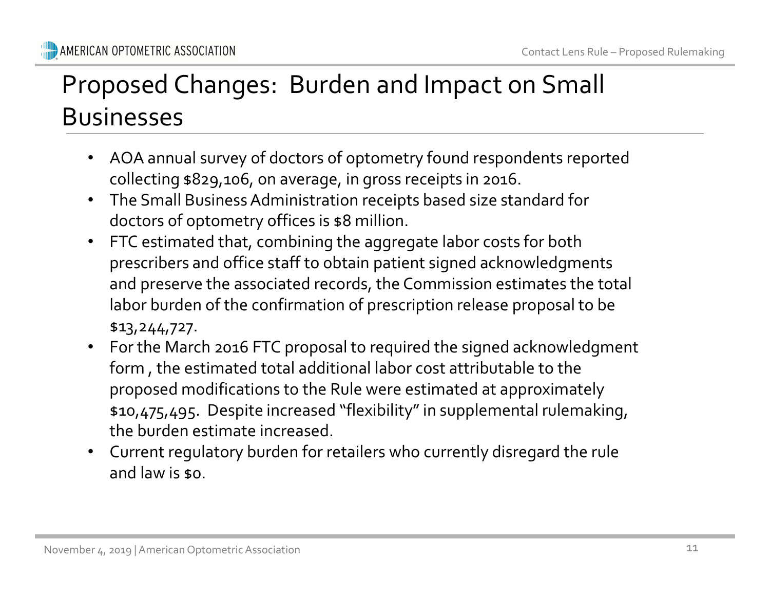# Contact Lens Rule – Proposed Rulemaking<br>
n Small Proposed Changes: Burden and Impact on Small Businesses

- AOA annual survey of doctors of optometry found respondents reported collecting \$829,106, on average, in gross receipts in 2016.
- The Small Business Administration receipts based size standard for doctors of optometry offices is \$8 million.
- FTC estimated that, combining the aggregate labor costs for both prescribers and office staff to obtain patient signed acknowledgments and preserve the associated records, the Commission estimates the total labor burden of the confirmation of prescription release proposal to be \$13,244,727.
- Analysis and the committation of piescription and  $$3,244,727$ .<br>
 For the March 2016 FTC proposal to required the form, the estimated total additional labor cost at proposed modifications to the Rule were estimate  $$10,4$ • For the March 2016 FTC proposal to required the signed acknowledgment form , the estimated total additional labor cost attributable to the proposed modifications to the Rule were estimated at approximately \$10,475,495. Despite increased "flexibility" in supplemental rulemaking, the burden estimate increased.
	- Current regulatory burden for retailers who currently disregard the rule and law is \$0.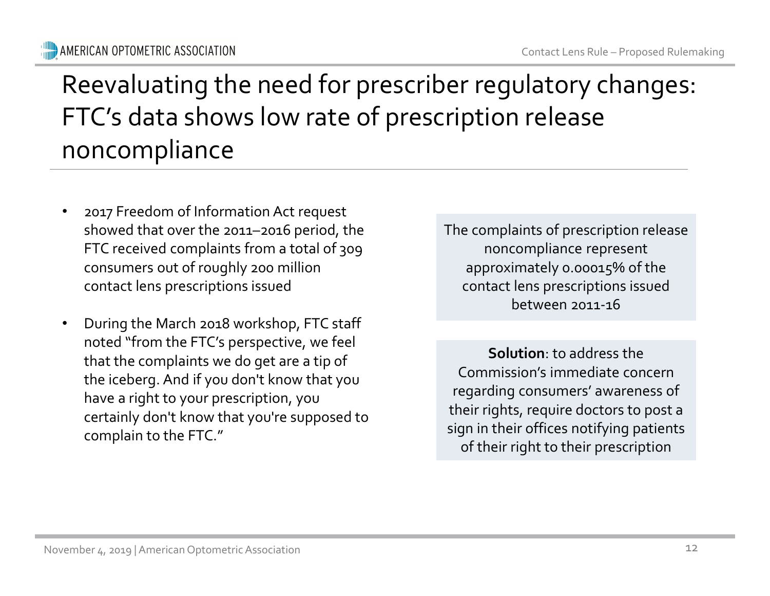### Contact Lens Rule – Proposed Rulemaking Reevaluating the need for prescriber regulatory changes: FTC's data shows low rate of prescription release noncompliance

- 2017 Freedom of Information Act request showed that over the 2011–2016 period, the FTC received complaints from a total of 309 consumers out of roughly 200 million contact lens prescriptions issued
- During the March 2018 workshop, FTC staff<br>noted "from the FTC's perspective, we feel<br>that the complaints we do get are a tip of<br>the iceberg. And if you don't know that you<br>have a right to your prescription, you<br>certainl • During the March 2018 workshop, FTC staff noted "from the FTC's perspective, we feel that the complaints we do get are a tip of the iceberg. And if you don't know that you have a right to your prescription, you certainly don't know that you're supposed to complain to the FTC."

The complaints of prescription release noncompliance represent approximately 0.00015% of the contact lens prescriptions issued between 2011-16

Solution: to address the Commission's immediate concern regarding consumers' awareness of their rights, require doctors to post a sign in their offices notifying patients of their right to their prescription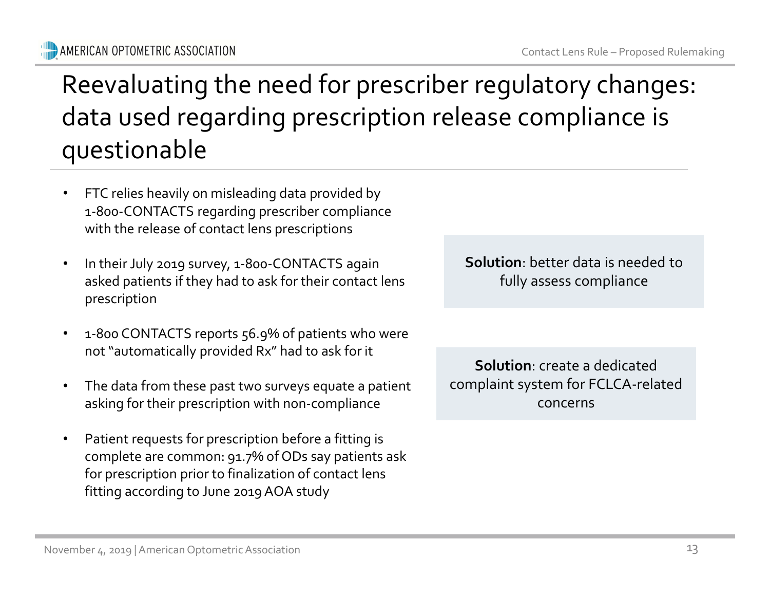Solution: better data is needed to fully assess compliance

Solution: create a dedicated complaint system for FCLCA-related concerns

**WILD** AMERICAN OPTOMETRIC ASSOCIATION

### questionable • FTC relies heavily on misleading data provided by 1-800-CONTACTS regarding prescriber compliance

Reevaluating the need for prescriber regulatory changes:

data used regarding prescription release compliance is

• In their July 2019 survey, 1-800-CONTACTS again asked patients if they had to ask for their contact lens prescription

with the release of contact lens prescriptions

- 1-800 CONTACTS reports 56.9% of patients who were not "automatically provided Rx" had to ask for it
- The data from these past two surveys equate a patient asking for their prescription with non-compliance
- 1. 2010 CONTACTS reports 56.9% of patients who were<br>
not "automatically provided Rx" had to ask for it<br>
1. The data from these past two surveys equate a patient<br>
asking for their prescription with non-compliance<br>
1. Patie • Patient requests for prescription before a fitting is complete are common: 91.7% of ODs say patients ask for prescription prior to finalization of contact lens fitting according to June 2019 AOA study